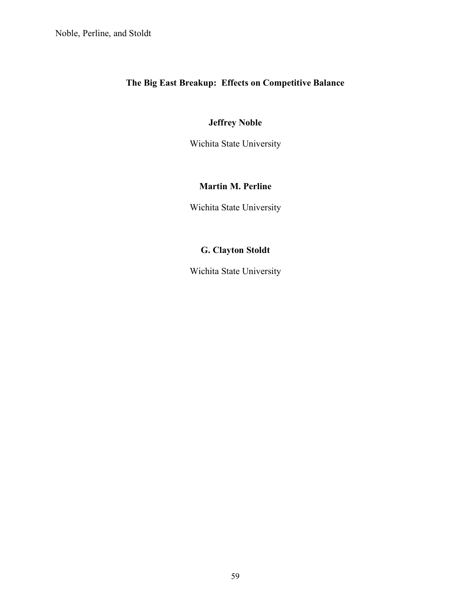# **The Big East Breakup: Effects on Competitive Balance**

## **Jeffrey Noble**

Wichita State University

# **Martin M. Perline**

Wichita State University

# **G. Clayton Stoldt**

Wichita State University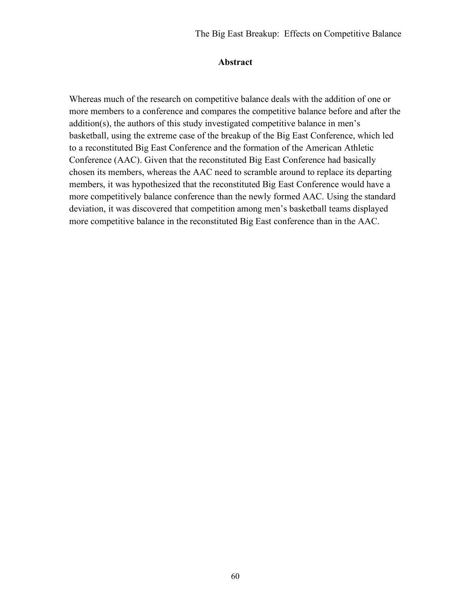## **Abstract**

Whereas much of the research on competitive balance deals with the addition of one or more members to a conference and compares the competitive balance before and after the addition(s), the authors of this study investigated competitive balance in men's basketball, using the extreme case of the breakup of the Big East Conference, which led to a reconstituted Big East Conference and the formation of the American Athletic Conference (AAC). Given that the reconstituted Big East Conference had basically chosen its members, whereas the AAC need to scramble around to replace its departing members, it was hypothesized that the reconstituted Big East Conference would have a more competitively balance conference than the newly formed AAC. Using the standard deviation, it was discovered that competition among men's basketball teams displayed more competitive balance in the reconstituted Big East conference than in the AAC.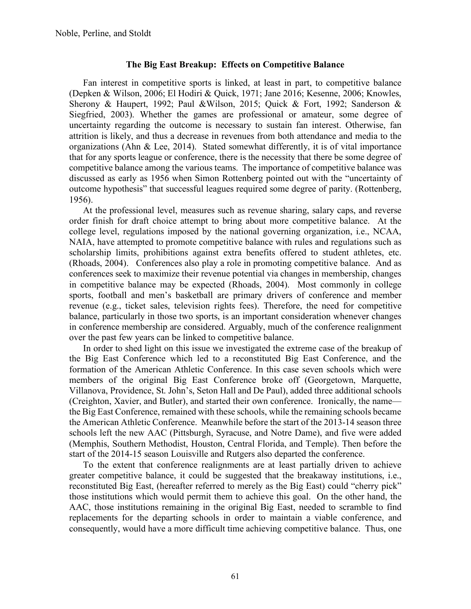## **The Big East Breakup: Effects on Competitive Balance**

Fan interest in competitive sports is linked, at least in part, to competitive balance (Depken & Wilson, 2006; El Hodiri & Quick, 1971; Jane 2016; Kesenne, 2006; Knowles, Sherony & Haupert, 1992; Paul &Wilson, 2015; Quick & Fort, 1992; Sanderson & Siegfried, 2003). Whether the games are professional or amateur, some degree of uncertainty regarding the outcome is necessary to sustain fan interest. Otherwise, fan attrition is likely, and thus a decrease in revenues from both attendance and media to the organizations (Ahn & Lee, 2014). Stated somewhat differently, it is of vital importance that for any sports league or conference, there is the necessity that there be some degree of competitive balance among the various teams. The importance of competitive balance was discussed as early as 1956 when Simon Rottenberg pointed out with the "uncertainty of outcome hypothesis" that successful leagues required some degree of parity. (Rottenberg, 1956).

At the professional level, measures such as revenue sharing, salary caps, and reverse order finish for draft choice attempt to bring about more competitive balance. At the college level, regulations imposed by the national governing organization, i.e., NCAA, NAIA, have attempted to promote competitive balance with rules and regulations such as scholarship limits, prohibitions against extra benefits offered to student athletes, etc. (Rhoads, 2004). Conferences also play a role in promoting competitive balance. And as conferences seek to maximize their revenue potential via changes in membership, changes in competitive balance may be expected (Rhoads, 2004). Most commonly in college sports, football and men's basketball are primary drivers of conference and member revenue (e.g., ticket sales, television rights fees). Therefore, the need for competitive balance, particularly in those two sports, is an important consideration whenever changes in conference membership are considered. Arguably, much of the conference realignment over the past few years can be linked to competitive balance.

In order to shed light on this issue we investigated the extreme case of the breakup of the Big East Conference which led to a reconstituted Big East Conference, and the formation of the American Athletic Conference. In this case seven schools which were members of the original Big East Conference broke off (Georgetown, Marquette, Villanova, Providence, St. John's, Seton Hall and De Paul), added three additional schools (Creighton, Xavier, and Butler), and started their own conference. Ironically, the name the Big East Conference, remained with these schools, while the remaining schools became the American Athletic Conference. Meanwhile before the start of the 2013-14 season three schools left the new AAC (Pittsburgh, Syracuse, and Notre Dame), and five were added (Memphis, Southern Methodist, Houston, Central Florida, and Temple). Then before the start of the 2014-15 season Louisville and Rutgers also departed the conference.

To the extent that conference realignments are at least partially driven to achieve greater competitive balance, it could be suggested that the breakaway institutions, i.e., reconstituted Big East, (hereafter referred to merely as the Big East) could "cherry pick" those institutions which would permit them to achieve this goal. On the other hand, the AAC, those institutions remaining in the original Big East, needed to scramble to find replacements for the departing schools in order to maintain a viable conference, and consequently, would have a more difficult time achieving competitive balance. Thus, one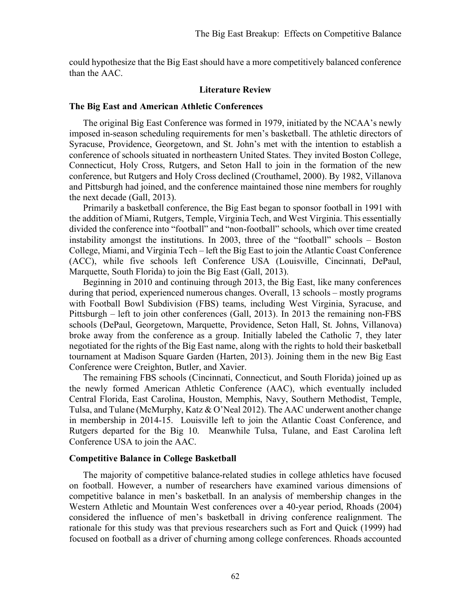could hypothesize that the Big East should have a more competitively balanced conference than the AAC.

## **Literature Review**

#### **The Big East and American Athletic Conferences**

The original Big East Conference was formed in 1979, initiated by the NCAA's newly imposed in-season scheduling requirements for men's basketball. The athletic directors of Syracuse, Providence, Georgetown, and St. John's met with the intention to establish a conference of schools situated in northeastern United States. They invited Boston College, Connecticut, Holy Cross, Rutgers, and Seton Hall to join in the formation of the new conference, but Rutgers and Holy Cross declined (Crouthamel, 2000). By 1982, Villanova and Pittsburgh had joined, and the conference maintained those nine members for roughly the next decade (Gall, 2013).

Primarily a basketball conference, the Big East began to sponsor football in 1991 with the addition of Miami, Rutgers, Temple, Virginia Tech, and West Virginia. This essentially divided the conference into "football" and "non-football" schools, which over time created instability amongst the institutions. In 2003, three of the "football" schools – Boston College, Miami, and Virginia Tech – left the Big East to join the Atlantic Coast Conference (ACC), while five schools left Conference USA (Louisville, Cincinnati, DePaul, Marquette, South Florida) to join the Big East (Gall, 2013).

Beginning in 2010 and continuing through 2013, the Big East, like many conferences during that period, experienced numerous changes. Overall, 13 schools – mostly programs with Football Bowl Subdivision (FBS) teams, including West Virginia, Syracuse, and Pittsburgh – left to join other conferences (Gall, 2013). In 2013 the remaining non-FBS schools (DePaul, Georgetown, Marquette, Providence, Seton Hall, St. Johns, Villanova) broke away from the conference as a group. Initially labeled the Catholic 7, they later negotiated for the rights of the Big East name, along with the rights to hold their basketball tournament at Madison Square Garden (Harten, 2013). Joining them in the new Big East Conference were Creighton, Butler, and Xavier.

The remaining FBS schools (Cincinnati, Connecticut, and South Florida) joined up as the newly formed American Athletic Conference (AAC), which eventually included Central Florida, East Carolina, Houston, Memphis, Navy, Southern Methodist, Temple, Tulsa, and Tulane (McMurphy, Katz & O'Neal 2012). The AAC underwent another change in membership in 2014-15. Louisville left to join the Atlantic Coast Conference, and Rutgers departed for the Big 10. Meanwhile Tulsa, Tulane, and East Carolina left Conference USA to join the AAC.

## **Competitive Balance in College Basketball**

The majority of competitive balance-related studies in college athletics have focused on football. However, a number of researchers have examined various dimensions of competitive balance in men's basketball. In an analysis of membership changes in the Western Athletic and Mountain West conferences over a 40-year period, Rhoads (2004) considered the influence of men's basketball in driving conference realignment. The rationale for this study was that previous researchers such as Fort and Quick (1999) had focused on football as a driver of churning among college conferences. Rhoads accounted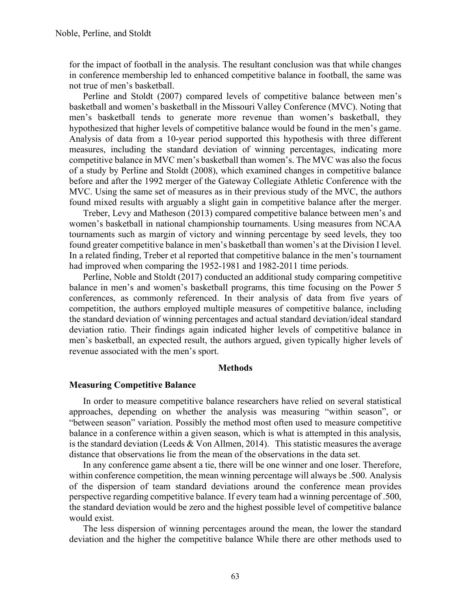for the impact of football in the analysis. The resultant conclusion was that while changes in conference membership led to enhanced competitive balance in football, the same was not true of men's basketball.

Perline and Stoldt (2007) compared levels of competitive balance between men's basketball and women's basketball in the Missouri Valley Conference (MVC). Noting that men's basketball tends to generate more revenue than women's basketball, they hypothesized that higher levels of competitive balance would be found in the men's game. Analysis of data from a 10-year period supported this hypothesis with three different measures, including the standard deviation of winning percentages, indicating more competitive balance in MVC men's basketball than women's. The MVC was also the focus of a study by Perline and Stoldt (2008), which examined changes in competitive balance before and after the 1992 merger of the Gateway Collegiate Athletic Conference with the MVC. Using the same set of measures as in their previous study of the MVC, the authors found mixed results with arguably a slight gain in competitive balance after the merger.

Treber, Levy and Matheson (2013) compared competitive balance between men's and women's basketball in national championship tournaments. Using measures from NCAA tournaments such as margin of victory and winning percentage by seed levels, they too found greater competitive balance in men's basketball than women's at the Division I level. In a related finding, Treber et al reported that competitive balance in the men's tournament had improved when comparing the 1952-1981 and 1982-2011 time periods.

Perline, Noble and Stoldt (2017) conducted an additional study comparing competitive balance in men's and women's basketball programs, this time focusing on the Power 5 conferences, as commonly referenced. In their analysis of data from five years of competition, the authors employed multiple measures of competitive balance, including the standard deviation of winning percentages and actual standard deviation/ideal standard deviation ratio. Their findings again indicated higher levels of competitive balance in men's basketball, an expected result, the authors argued, given typically higher levels of revenue associated with the men's sport.

#### **Methods**

## **Measuring Competitive Balance**

In order to measure competitive balance researchers have relied on several statistical approaches, depending on whether the analysis was measuring "within season", or "between season" variation. Possibly the method most often used to measure competitive balance in a conference within a given season, which is what is attempted in this analysis, is the standard deviation (Leeds  $&$  Von Allmen, 2014). This statistic measures the average distance that observations lie from the mean of the observations in the data set.

In any conference game absent a tie, there will be one winner and one loser. Therefore, within conference competition, the mean winning percentage will always be .500. Analysis of the dispersion of team standard deviations around the conference mean provides perspective regarding competitive balance. If every team had a winning percentage of .500, the standard deviation would be zero and the highest possible level of competitive balance would exist.

The less dispersion of winning percentages around the mean, the lower the standard deviation and the higher the competitive balance While there are other methods used to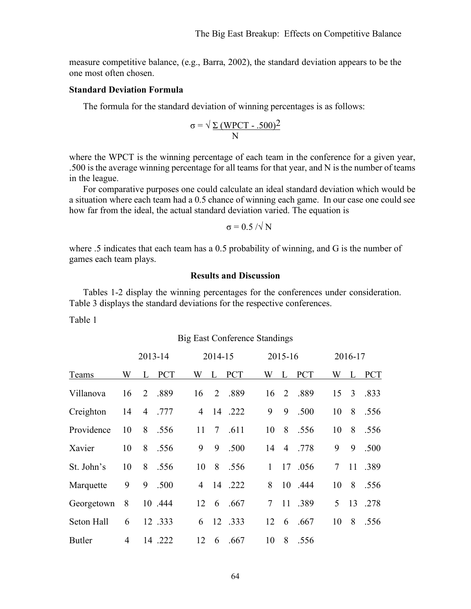measure competitive balance, (e.g., Barra, 2002), the standard deviation appears to be the one most often chosen.

## **Standard Deviation Formula**

The formula for the standard deviation of winning percentages is as follows:

$$
\sigma = \sqrt{\frac{\Sigma (WPCT - .500)^2}{N}}
$$

where the WPCT is the winning percentage of each team in the conference for a given year, .500 is the average winning percentage for all teams for that year, and N is the number of teams in the league.

For comparative purposes one could calculate an ideal standard deviation which would be a situation where each team had a 0.5 chance of winning each game. In our case one could see how far from the ideal, the actual standard deviation varied. The equation is

$$
\sigma = 0.5 / \sqrt{N}
$$

where .5 indicates that each team has a 0.5 probability of winning, and G is the number of games each team plays.

## **Results and Discussion**

Tables 1-2 display the winning percentages for the conferences under consideration. Table 3 displays the standard deviations for the respective conferences.

Table 1

|               |    | 2013-14 |            |                | 2014-15                      |            |                 | 2015-16 |            |                 | 2016-17 |            |
|---------------|----|---------|------------|----------------|------------------------------|------------|-----------------|---------|------------|-----------------|---------|------------|
| Teams         | W  | L       | <b>PCT</b> | W              | L                            | <b>PCT</b> | W               | L       | <b>PCT</b> | W               | L       | <b>PCT</b> |
| Villanova     | 16 | 2       | .889       | 16             | 2                            | .889       | 16              | 2       | .889       | 15              | 3       | .833       |
| Creighton     | 14 |         | 4.777      | $\overline{4}$ |                              | 14 .222    | 9               | 9       | .500       | 10              | 8       | .556       |
| Providence    | 10 | 8       | .556       | 11             | $7\phantom{.0}\phantom{.0}7$ | .611       | 10              | 8       | .556       | 10              | 8       | .556       |
| Xavier        | 10 | 8       | .556       | 9              | 9                            | .500       | 14              | 4       | .778       | 9               | 9       | .500       |
| St. John's    | 10 | 8       | .556       | 10             | 8                            | .556       | $\mathbf{1}$    | 17      | .056       | $7\overline{ }$ | 11      | .389       |
| Marquette     | 9  | 9       | .500       | 4              |                              | 14 .222    | 8               |         | 10 .444    | 10              | 8       | .556       |
| Georgetown    | 8  |         | 10 .444    | 12             | 6                            | .667       | $7\overline{ }$ |         | 11 .389    | 5 <sup>5</sup>  | 13      | .278       |
| Seton Hall    | 6  |         | 12 .333    | 6              |                              | 12 .333    | 12              | 6       | .667       | 10              | 8       | .556       |
| <b>Butler</b> | 4  |         | 14 .222    | 12             | 6                            | .667       | 10              | 8       | .556       |                 |         |            |

## Big East Conference Standings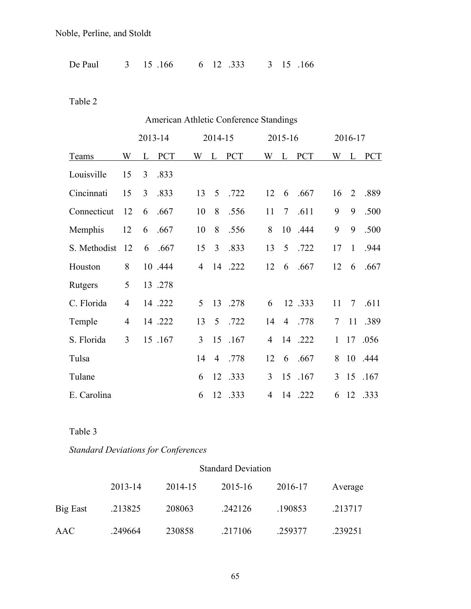Noble, Perline, and Stoldt

| De Paul<br>3 15 166 | 6 12 .333 3 15 .166 |  |  |  |
|---------------------|---------------------|--|--|--|
|---------------------|---------------------|--|--|--|

Table 2

|              |    |         |            |                |         |            | American Athletic Conference Standings |                |            |                |                |         |
|--------------|----|---------|------------|----------------|---------|------------|----------------------------------------|----------------|------------|----------------|----------------|---------|
|              |    | 2013-14 |            |                | 2014-15 |            |                                        | 2015-16        |            |                | 2016-17        |         |
| Teams        | W  | L       | <b>PCT</b> |                | W L     | <b>PCT</b> |                                        | W L            | <b>PCT</b> | W              |                | L PCT   |
| Louisville   | 15 | 3       | .833       |                |         |            |                                        |                |            |                |                |         |
| Cincinnati   | 15 | 3       | .833       | 13             | 5       | .722       | 12                                     | 6              | .667       | 16             | $\overline{2}$ | .889    |
| Connecticut  | 12 | 6       | .667       | 10             | 8       | .556       | 11                                     | $\overline{7}$ | .611       | 9              | 9              | .500    |
| Memphis      | 12 | 6       | .667       | 10             | 8       | .556       | 8                                      | 10             | .444       | 9              | 9              | .500    |
| S. Methodist | 12 | 6       | .667       | 15             | 3       | .833       | 13                                     | 5              | .722       | 17             | $\mathbf{1}$   | .944    |
| Houston      | 8  |         | 10 .444    | $\overline{4}$ |         | 14 .222    | 12                                     | 6              | .667       | 12             | 6              | .667    |
| Rutgers      | 5  |         | 13 .278    |                |         |            |                                        |                |            |                |                |         |
| C. Florida   | 4  |         | 14 .222    | 5              |         | 13 .278    | 6                                      |                | 12 .333    | 11             | $\tau$         | .611    |
| Temple       | 4  |         | 14 .222    | 13             | 5       | .722       | 14                                     | $\overline{4}$ | .778       | $\overline{7}$ | 11             | .389    |
| S. Florida   | 3  |         | 15 .167    | 3              | 15      | .167       | $\overline{4}$                         | 14             | .222       | 1              | 17             | .056    |
| Tulsa        |    |         |            | 14             | 4       | .778       | 12                                     | 6              | .667       | 8              |                | 10 .444 |
| Tulane       |    |         |            | 6              | 12      | .333       | 3                                      | 15             | .167       | $\overline{3}$ | 15             | .167    |
| E. Carolina  |    |         |            | 6              | 12      | .333       | $\overline{4}$                         | 14             | .222       | 6              | 12             | .333    |

Table 3

*Standard Deviations for Conferences*

|          | <b>Standard Deviation</b> |         |         |         |         |  |  |  |  |  |  |
|----------|---------------------------|---------|---------|---------|---------|--|--|--|--|--|--|
|          | 2013-14                   | 2014-15 | 2015-16 | 2016-17 | Average |  |  |  |  |  |  |
| Big East | .213825                   | 208063  | .242126 | .190853 | .213717 |  |  |  |  |  |  |
| AAC      | .249664                   | 230858  | .217106 | .259377 | .239251 |  |  |  |  |  |  |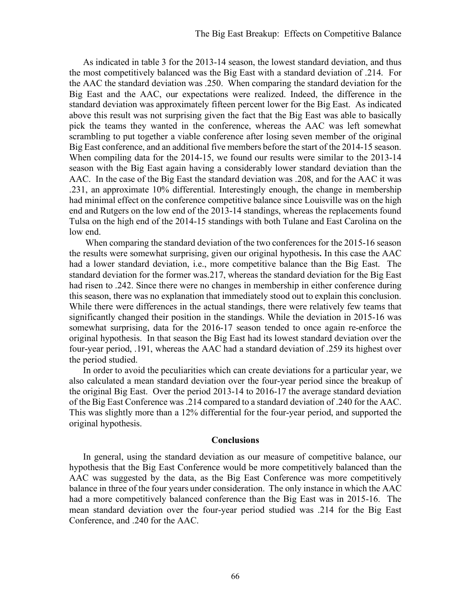As indicated in table 3 for the 2013-14 season, the lowest standard deviation, and thus the most competitively balanced was the Big East with a standard deviation of .214. For the AAC the standard deviation was .250. When comparing the standard deviation for the Big East and the AAC, our expectations were realized. Indeed, the difference in the standard deviation was approximately fifteen percent lower for the Big East. As indicated above this result was not surprising given the fact that the Big East was able to basically pick the teams they wanted in the conference, whereas the AAC was left somewhat scrambling to put together a viable conference after losing seven member of the original Big East conference, and an additional five members before the start of the 2014-15 season. When compiling data for the 2014-15, we found our results were similar to the 2013-14 season with the Big East again having a considerably lower standard deviation than the AAC. In the case of the Big East the standard deviation was .208, and for the AAC it was .231, an approximate 10% differential. Interestingly enough, the change in membership had minimal effect on the conference competitive balance since Louisville was on the high end and Rutgers on the low end of the 2013-14 standings, whereas the replacements found Tulsa on the high end of the 2014-15 standings with both Tulane and East Carolina on the low end.

When comparing the standard deviation of the two conferences for the 2015-16 season the results were somewhat surprising, given our original hypothesis**.** In this case the AAC had a lower standard deviation, i.e., more competitive balance than the Big East. The standard deviation for the former was.217, whereas the standard deviation for the Big East had risen to .242. Since there were no changes in membership in either conference during this season, there was no explanation that immediately stood out to explain this conclusion. While there were differences in the actual standings, there were relatively few teams that significantly changed their position in the standings. While the deviation in 2015-16 was somewhat surprising, data for the 2016-17 season tended to once again re-enforce the original hypothesis. In that season the Big East had its lowest standard deviation over the four-year period, .191, whereas the AAC had a standard deviation of .259 its highest over the period studied.

In order to avoid the peculiarities which can create deviations for a particular year, we also calculated a mean standard deviation over the four-year period since the breakup of the original Big East. Over the period 2013-14 to 2016-17 the average standard deviation of the Big East Conference was .214 compared to a standard deviation of .240 for the AAC. This was slightly more than a 12% differential for the four-year period, and supported the original hypothesis.

#### **Conclusions**

In general, using the standard deviation as our measure of competitive balance, our hypothesis that the Big East Conference would be more competitively balanced than the AAC was suggested by the data, as the Big East Conference was more competitively balance in three of the four years under consideration. The only instance in which the AAC had a more competitively balanced conference than the Big East was in 2015-16. The mean standard deviation over the four-year period studied was .214 for the Big East Conference, and .240 for the AAC.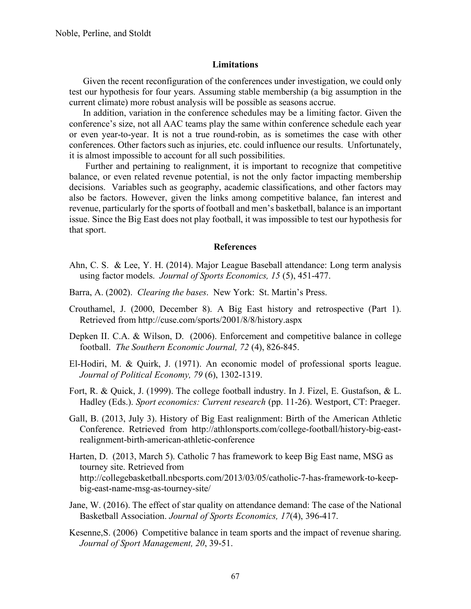## **Limitations**

Given the recent reconfiguration of the conferences under investigation, we could only test our hypothesis for four years. Assuming stable membership (a big assumption in the current climate) more robust analysis will be possible as seasons accrue.

In addition, variation in the conference schedules may be a limiting factor. Given the conference's size, not all AAC teams play the same within conference schedule each year or even year-to-year. It is not a true round-robin, as is sometimes the case with other conferences. Other factors such as injuries, etc. could influence our results. Unfortunately, it is almost impossible to account for all such possibilities.

Further and pertaining to realignment, it is important to recognize that competitive balance, or even related revenue potential, is not the only factor impacting membership decisions. Variables such as geography, academic classifications, and other factors may also be factors. However, given the links among competitive balance, fan interest and revenue, particularly for the sports of football and men's basketball, balance is an important issue. Since the Big East does not play football, it was impossible to test our hypothesis for that sport.

## **References**

- Ahn, C. S. & Lee, Y. H. (2014). Major League Baseball attendance: Long term analysis using factor models. *Journal of Sports Economics, 15* (5), 451-477.
- Barra, A. (2002). *Clearing the bases*. New York: St. Martin's Press.
- Crouthamel, J. (2000, December 8). A Big East history and retrospective (Part 1). Retrieved from http://cuse.com/sports/2001/8/8/history.aspx
- Depken II. C.A. & Wilson, D. (2006). Enforcement and competitive balance in college football. *The Southern Economic Journal, 72* (4), 826-845.
- El-Hodiri, M. & Quirk, J. (1971). An economic model of professional sports league. *Journal of Political Economy, 79* (6), 1302-1319.
- Fort, R. & Quick, J. (1999). The college football industry. In J. Fizel, E. Gustafson, & L. Hadley (Eds.). *Sport economics: Current research* (pp. 11-26). Westport, CT: Praeger.
- Gall, B. (2013, July 3). History of Big East realignment: Birth of the American Athletic Conference. Retrieved from http://athlonsports.com/college-football/history-big-eastrealignment-birth-american-athletic-conference
- Harten, D. (2013, March 5). Catholic 7 has framework to keep Big East name, MSG as tourney site. Retrieved from http://collegebasketball.nbcsports.com/2013/03/05/catholic-7-has-framework-to-keepbig-east-name-msg-as-tourney-site/
- Jane, W. (2016). The effect of star quality on attendance demand: The case of the National Basketball Association. *Journal of Sports Economics, 17*(4), 396-417.
- Kesenne,S. (2006) Competitive balance in team sports and the impact of revenue sharing. *Journal of Sport Management, 20*, 39-51.